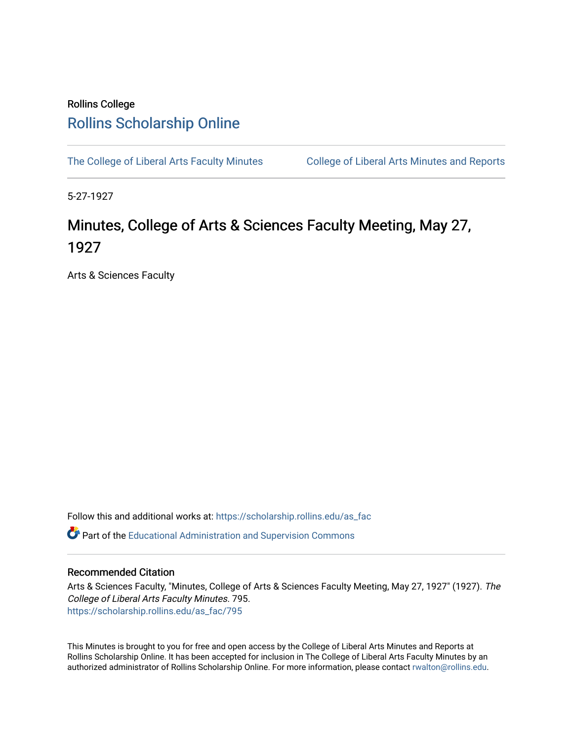# Rollins College [Rollins Scholarship Online](https://scholarship.rollins.edu/)

[The College of Liberal Arts Faculty Minutes](https://scholarship.rollins.edu/as_fac) College of Liberal Arts Minutes and Reports

5-27-1927

# Minutes, College of Arts & Sciences Faculty Meeting, May 27, 1927

Arts & Sciences Faculty

Follow this and additional works at: [https://scholarship.rollins.edu/as\\_fac](https://scholarship.rollins.edu/as_fac?utm_source=scholarship.rollins.edu%2Fas_fac%2F795&utm_medium=PDF&utm_campaign=PDFCoverPages) 

**P** Part of the [Educational Administration and Supervision Commons](http://network.bepress.com/hgg/discipline/787?utm_source=scholarship.rollins.edu%2Fas_fac%2F795&utm_medium=PDF&utm_campaign=PDFCoverPages)

### Recommended Citation

Arts & Sciences Faculty, "Minutes, College of Arts & Sciences Faculty Meeting, May 27, 1927" (1927). The College of Liberal Arts Faculty Minutes. 795. [https://scholarship.rollins.edu/as\\_fac/795](https://scholarship.rollins.edu/as_fac/795?utm_source=scholarship.rollins.edu%2Fas_fac%2F795&utm_medium=PDF&utm_campaign=PDFCoverPages) 

This Minutes is brought to you for free and open access by the College of Liberal Arts Minutes and Reports at Rollins Scholarship Online. It has been accepted for inclusion in The College of Liberal Arts Faculty Minutes by an authorized administrator of Rollins Scholarship Online. For more information, please contact [rwalton@rollins.edu](mailto:rwalton@rollins.edu).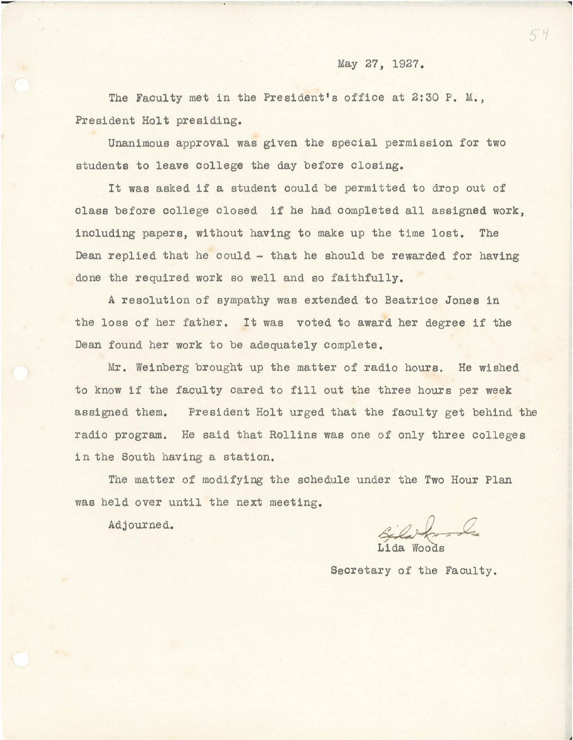## May 27, 1927.

The Faculty met in the President's office at 2:30 P. M., President Holt presiding.

Unanimous approval was given the special permission for two students to leave college the day before closing.

It was asked if a student could be permitted to drop out of class before college closed if he had completed all assigned work, including papers, without having to make up the time lost. The Dean replied that he could - that he should be rewarded for having done the required work so well and so faithfully.

A resolution of sympathy was extended to Beatrice Jones in the loss of her father. It was voted to award her degree if the Dean found her work to be adequately complete.

Mr. Weinberg brought up the matter of radio hours. He wished to know if the faculty cared to fill out the three hours per week assigned them. President Holt urged that the faculty get behind the radio program. He said that Rollins was one of only three colleges in the South having a station.

The matter of modifying the schedule under the Two Hour Plan was held over until the next meeting.

Adjourned.

Sila from Le

Lida Woods

Secretary of the Faculty.

**l**